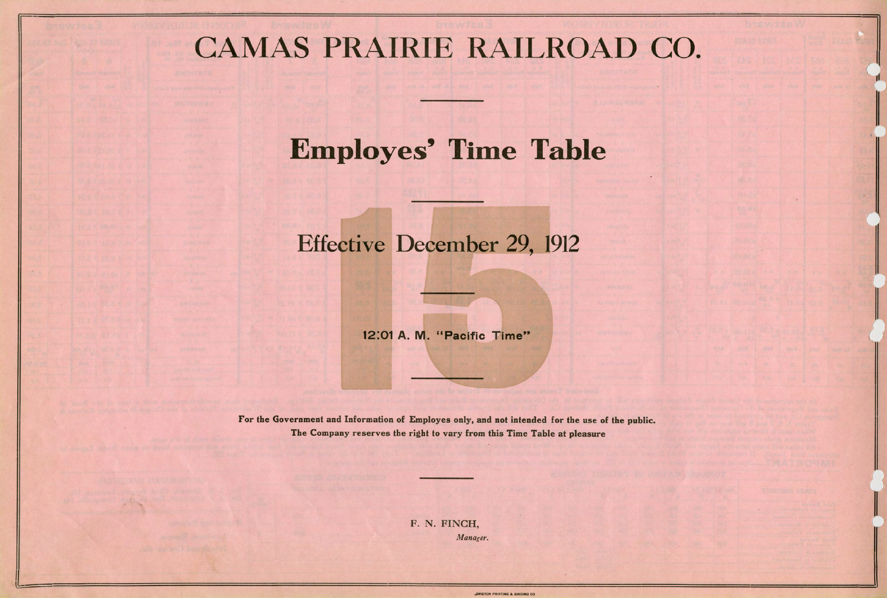## CAMAS PRAIRIE RAILROAD CO.

## **Employes' Time Table**

## Effective December 29, 1912

12:01 A. M. "Pacific Time"

F. N. FINCH, *.Manager.* 

EWISTON PRINTING & BIND



For the Government and Information of Employes only, and not intended for the use of the public. The Company reserves the right to vary from this Time Table at pleasure